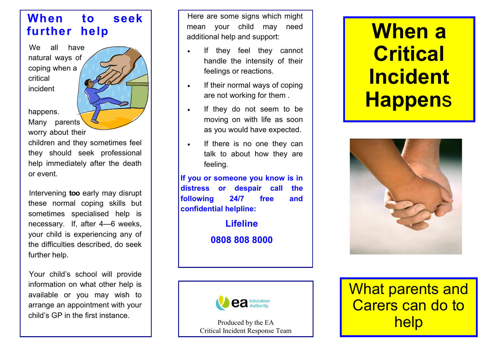## **When to seek further help**

We all have natural ways of coping when a critical incident

happens.

Many parents worry about their

children and they sometimes feel they should seek professional help immediately after the death or event.

Intervening **too** early may disrupt these normal coping skills but sometimes specialised help is necessary. If, after 4—6 weeks, your child is experiencing any of the difficulties described, do seek further help.

Your child's school will provide information on what other help is available or you may wish to arrange an appointment with your child's GP in the first instance.

Here are some signs which might mean your child may need additional help and support:

- If they feel they cannot handle the intensity of their feelings or reactions.
- If their normal ways of coping are not working for them .
- If they do not seem to be moving on with life as soon as you would have expected.
- If there is no one they can talk to about how they are feeling.

**If you or someone you know is in distress or despair call the following 24/7 free and confidential helpline:**

> **Lifeline 0808 808 8000**



Produced by the EA Critical Incident Response Team

## **When a Critical Incident Happen**s